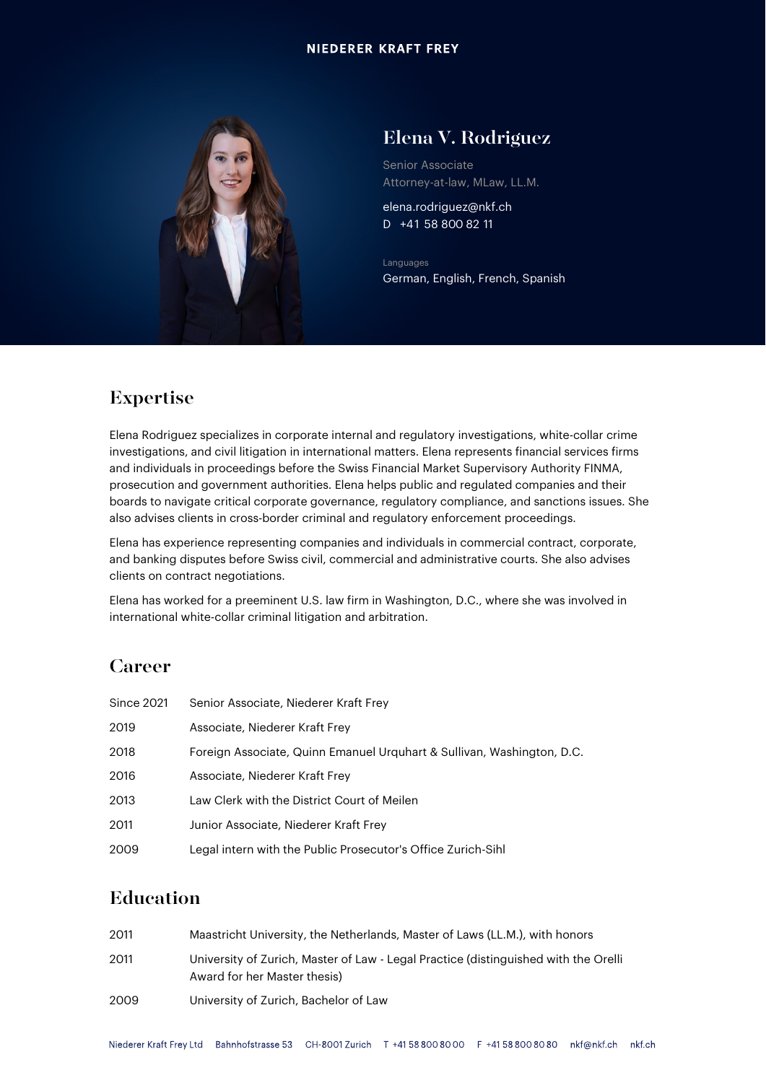

# Elena V. Rodriguez

Senior Associate Attorney-at-law, MLaw, LL.M.

elena.rodriguez@nkf.ch D +41 58 800 82 11

Languages German, English, French, Spanish

# Expertise

Elena Rodriguez specializes in corporate internal and regulatory investigations, white-collar crime investigations, and civil litigation in international matters. Elena represents financial services firms and individuals in proceedings before the Swiss Financial Market Supervisory Authority FINMA, prosecution and government authorities. Elena helps public and regulated companies and their boards to navigate critical corporate governance, regulatory compliance, and sanctions issues. She also advises clients in cross-border criminal and regulatory enforcement proceedings.

Elena has experience representing companies and individuals in commercial contract, corporate, and banking disputes before Swiss civil, commercial and administrative courts. She also advises clients on contract negotiations.

Elena has worked for a preeminent U.S. law firm in Washington, D.C., where she was involved in international white-collar criminal litigation and arbitration.

### Career

| <b>Since 2021</b> | Senior Associate, Niederer Kraft Frey                                  |
|-------------------|------------------------------------------------------------------------|
| 2019              | Associate, Niederer Kraft Frey                                         |
| 2018              | Foreign Associate, Quinn Emanuel Urguhart & Sullivan, Washington, D.C. |
| 2016              | Associate, Niederer Kraft Frey                                         |
| 2013              | Law Clerk with the District Court of Meilen                            |
| 2011              | Junior Associate, Niederer Kraft Frey                                  |
| 2009              | Legal intern with the Public Prosecutor's Office Zurich-Sihl           |

#### Education

| 2011 | Maastricht University, the Netherlands, Master of Laws (LL.M.), with honors                                         |
|------|---------------------------------------------------------------------------------------------------------------------|
| 2011 | University of Zurich, Master of Law - Legal Practice (distinguished with the Orelli<br>Award for her Master thesis) |
| 2009 | University of Zurich, Bachelor of Law                                                                               |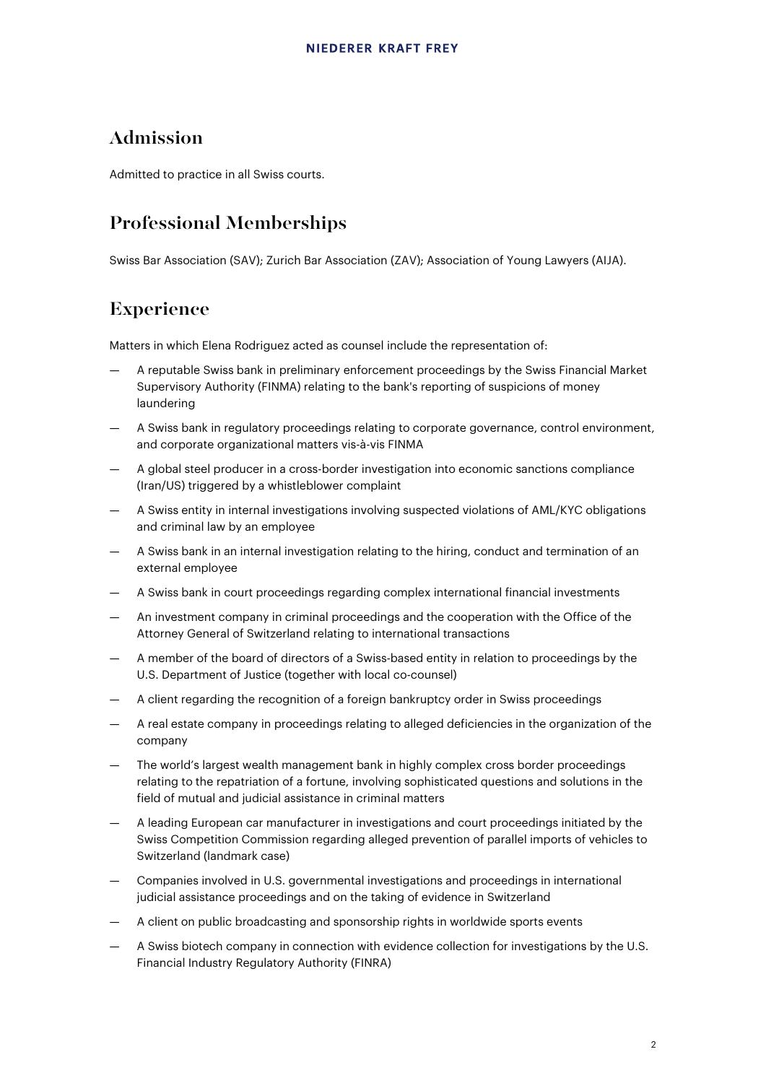#### Admission

Admitted to practice in all Swiss courts.

# Professional Memberships

Swiss Bar Association (SAV); Zurich Bar Association (ZAV); Association of Young Lawyers (AIJA).

# Experience

Matters in which Elena Rodriguez acted as counsel include the representation of:

- A reputable Swiss bank in preliminary enforcement proceedings by the Swiss Financial Market Supervisory Authority (FINMA) relating to the bank's reporting of suspicions of money laundering
- A Swiss bank in regulatory proceedings relating to corporate governance, control environment, and corporate organizational matters vis-à-vis FINMA
- A global steel producer in a cross-border investigation into economic sanctions compliance (Iran/US) triggered by a whistleblower complaint
- A Swiss entity in internal investigations involving suspected violations of AML/KYC obligations and criminal law by an employee
- A Swiss bank in an internal investigation relating to the hiring, conduct and termination of an external employee
- A Swiss bank in court proceedings regarding complex international financial investments
- An investment company in criminal proceedings and the cooperation with the Office of the Attorney General of Switzerland relating to international transactions
- A member of the board of directors of a Swiss-based entity in relation to proceedings by the U.S. Department of Justice (together with local co-counsel)
- A client regarding the recognition of a foreign bankruptcy order in Swiss proceedings
- A real estate company in proceedings relating to alleged deficiencies in the organization of the company
- The world's largest wealth management bank in highly complex cross border proceedings relating to the repatriation of a fortune, involving sophisticated questions and solutions in the field of mutual and judicial assistance in criminal matters
- A leading European car manufacturer in investigations and court proceedings initiated by the Swiss Competition Commission regarding alleged prevention of parallel imports of vehicles to Switzerland (landmark case)
- Companies involved in U.S. governmental investigations and proceedings in international judicial assistance proceedings and on the taking of evidence in Switzerland
- A client on public broadcasting and sponsorship rights in worldwide sports events
- A Swiss biotech company in connection with evidence collection for investigations by the U.S. Financial Industry Regulatory Authority (FINRA)